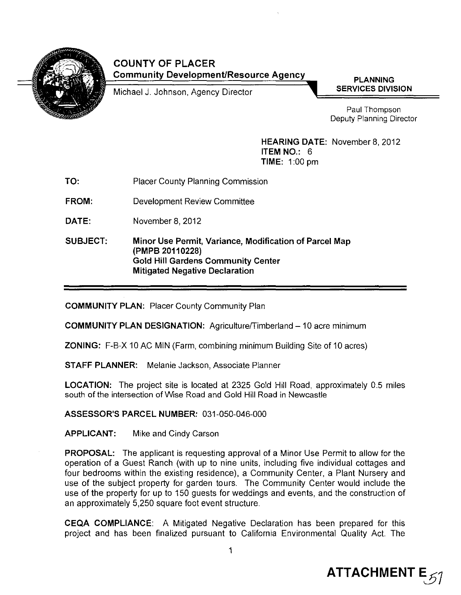

# COUNTY OF PLACER Community Development/Resource Agency

Michael J. Johnson, Agency Director

PLANNING SERVICES DIVISION

Paul Thompson Deputy Planning Director

HEARING DATE: November 8, 2012 ITEM NO.: 6 TIME: 1:00 pm

- TO: Placer County Planning Commission
- FROM: Development Review Committee
- DATE: November 8,2012

SUBJECT: Minor Use Permit, Variance, Modification of Parcel Map (PMPB 20110228) Gold Hill Gardens Community Center Mitigated Negative Declaration

COMMUNITY PLAN: Placer County Community Plan

**COMMUNITY PLAN DESIGNATION:** Agriculture/Timberland - 10 acre minimum

ZONING: F-B-X 10 AC MIN (Farm, combining minimum Building Site of 10 acres)

STAFF PLANNER: Melanie Jackson, Associate Planner

LOCATION: The project site is located at 2325 Gold Hill Road, approximately 0.5 miles south of the intersection of Wise Road and Gold Hill Road in Newcastle

ASSESSOR'S PARCEL NUMBER: 031-050-046-000

APPLICANT: Mike and Cindy Carson

PROPOSAL: The applicant is requesting approval of a Minor Use Permit to allow for the operation of a Guest Ranch (with up to nine units, including five individual cottages and four bedrooms within the existing residence), a Community Center, a Plant Nursery and use of the subject property for garden tours. The Community Center would include the use of the property for up to 150 guests for weddings and events, and the construction of an approximately 5,250 square foot event structure.

CEQA COMPLIANCE: A Mitigated Negative Declaration has been prepared for this project and has been finalized pursuant to California Environmental Quality Act. The

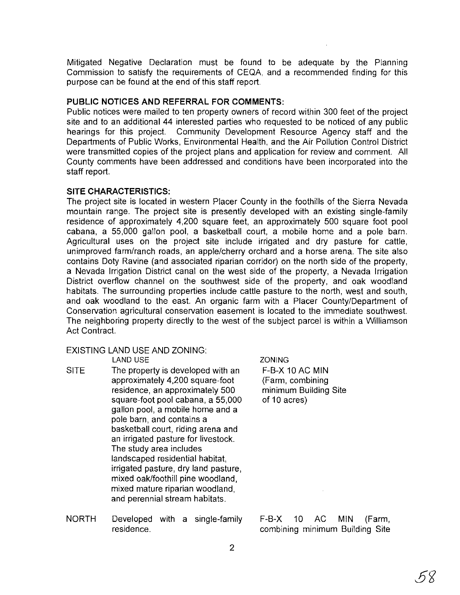Mitigated Negative Declaration must be found to be adequate by the Planning Commission to satisfy the requirements of CEQA, and a recommended finding for this purpose can be found at the end of this staff report.

#### **PUBLIC NOTICES AND REFERRAL FOR COMMENTS:**

Public notices were mailed to ten property owners of record within 300 feet of the project site and to an additional 44 interested parties who requested to be noticed of any public hearings for this project. Community Development Resource Agency staff and the Departments of Public Works, Environmental Health, and the Air Pollution Control District were transmitted copies of the project plans and application for review and comment. All County comments have been addressed and conditions have been incorporated into the staff report.

### **SITE CHARACTERISTICS:**

The project site is located in western Placer County in the foothills of the Sierra Nevada mountain range. The project site is presently developed with an existing single-family residence of approximately 4,200 square feet, an approximately 500 square foot pool cabana, a 55,000 gallon pool, a basketball court, a mobile home and a pole barn. Agricultural uses on the project site include irrigated and dry pasture for cattle, unimproved farm/ranch roads, an apple/cherry orchard and a horse arena. The site also contains Doty Ravine (and associated riparian corridor) on the north side of the properly, a Nevada Irrigation District canal on the west side of the property, a Nevada Irrigation District overflow channel on the southwest side of the property, and oak woodland habitats. The surrounding properties include cattle pasture to the north, west and south, and oak woodland to the east. An organic farm with a Placer County/Department of Conservation agricultural conservation easement is located to the immediate southwest. The neighboring property directly to the west of the subject parcel is within a Williamson Act Contract.

# EXISTING LAND USE AND ZONING:

LAND USE

- SITE The property is developed with an approximately 4,200 square-foot residence, an approximately 500 square-foot pool cabana, a 55,000 gallon pool, a mobile home and a pole barn, and contains a basketball court, riding arena and an irrigated pasture for livestock. The study area includes landscaped residential habitat, irrigated pasture, dry land pasture, mixed oak/foothill pine woodland, mixed mature riparian woodland, and perennial stream habitats.
- NORTH Developed with a single-family residence.

ZONING F-B-X 10 AC MIN (Farm, combining minimum Building Site of 10 acres)

F-B-X 10 AC MIN (Farm, combining minimum Building Site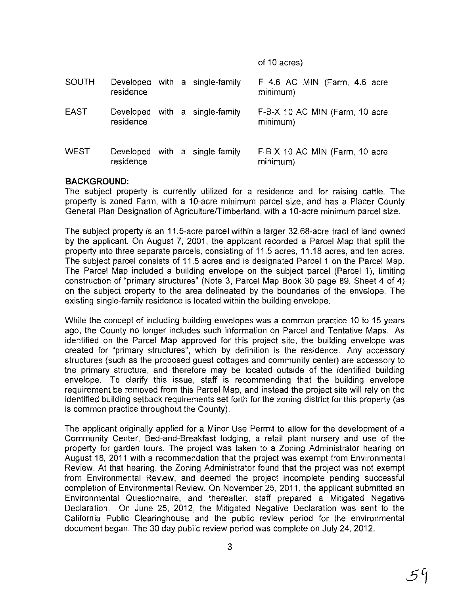#### of 10 acres)

| <b>SOUTH</b> | residence |  | Developed with a single-family | F 4.6 AC MIN (Farm, 4.6 acre<br>minimum)   |
|--------------|-----------|--|--------------------------------|--------------------------------------------|
| <b>EAST</b>  | residence |  | Developed with a single-family | F-B-X 10 AC MIN (Farm, 10 acre<br>minimum) |
| <b>WEST</b>  | residence |  | Developed with a single-family | F-B-X 10 AC MIN (Farm, 10 acre<br>minimum) |

### **BACKGROUND:**

The subject property is currently utilized for a residence and for raising cattle. The property is zoned Farm, with a 10-acre minimum parcel size, and has a Placer County General Plan Designation of Agriculture/Timberland, with a 10-acre minimum parcel size.

The SUbject property is an 11.5-acre parcel within a larger 32.68-acre tract of land owned by the applicant. On August 7, 2001, the applicant recorded a Parcel Map that split the property into three separate parcels, consisting of 11.5 acres, 11.18 acres, and ten acres. The SUbject parcel consists of 11.5 acres and is designated Parcel 1 on the Parcel Map. The Parcel Map included a building envelope on the subject parcel (Parcel 1), limiting construction of "primary structures" (Note 3, Parcel Map Book 30 page 89, Sheet 4 of 4) on the subject property to the area delineated by the boundaries of the envelope. The existing single-family residence is located within the building envelope.

While the concept of including building envelopes was a common practice 10 to 15 years ago, the County no longer includes such information on Parcel and Tentative Maps. As identified on the Parcel Map approved for this project site, the building envelope was created for "primary structures", which by definition is the residence. Any accessory structures (such as the proposed guest cottages and community center) are accessory to the primary structure, and therefore may be located outside of the identified building envelope. To clarify this issue, staff is recommending that the building envelope requirement be removed from this Parcel Map, and instead the project site will rely on the identified building setback requirements set forth for the zoning district for this property (as is common practice throughout the County).

The applicant originally applied for a Minor Use Permit to allow for the development of a Community Center, Bed-and-Breakfast lodging, a retail plant nursery and use of the property for garden tours. The project was taken to a Zoning Administrator hearing on August 18, 2011 with a recommendation that the project was exempt from Environmental Review. At that hearing, the Zoning Administrator found that the project was not exempt from Environmental Review, and deemed the project incomplete pending successful completion of Environmental Review. On November 25, 2011, the applicant submitted an Environmental Questionnaire, and thereafter, staff prepared a Mitigated Negative Declaration. On June 25, 2012, the Mitigated Negative Declaration was sent to the California Public Clearinghouse and the public review period for the environmental document began. The 30 day public review period was complete on July 24,2012.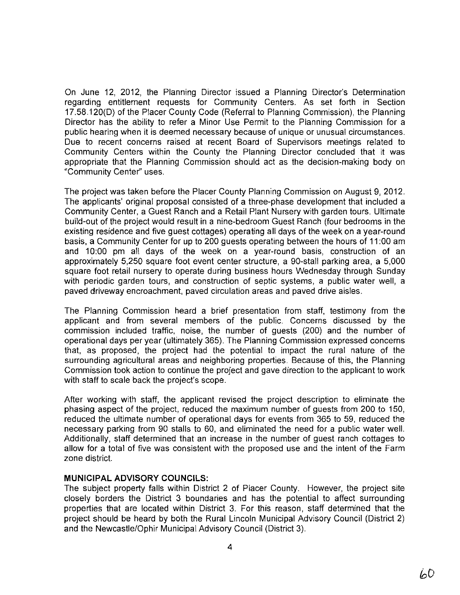On June 12, 2012, the Planning Director issued a Planning Director's Determination regarding entitlement requests for Community Centers. As set forth in Section 17.58.120(0) of the Placer County Code (Referral to Planning Commission), the Planning Director has the ability to refer a Minor Use Permit to the Planning Commission for a public hearing when it is deemed necessary because of unique or unusual circumstances. Due to recent concerns raised at recent Board of Supervisors meetings related to Community Centers within the County the Planning Director concluded that it was appropriate that the Planning Commission should act as the decision-making body on "Community Center" uses.

The project was taken before the Placer County Planning Commission on August 9, 2012. The applicants' original proposal consisted of a three-phase development that included a Community Center, a Guest Ranch and a Retail Plant Nursery with garden tours. Ultimate build-out of the project would result in a nine-bedroom Guest Ranch (four bedrooms in the existing residence and five guest cottages) operating all days of the week on a year-round basis, a Community Center for up to 200 guests operating between the hours of 11 :00 am and 10:00 pm all days of the week on a year-round basis, construction of an approximately 5,250 square foot event center structure, a 90-stall parking area, a 5,000 square foot retail nursery to operate during business hours Wednesday through Sunday with periodic garden tours, and construction of septic systems, a public water well, a paved driveway encroachment, paved circulation areas and paved drive aisles.

The Planning Commission heard a brief presentation from staff, testimony from the applicant and from several members of the public. Concerns discussed by the commission included traffic, noise, the number of guests (200) and the number of operational days per year (ultimately 365). The Planning Commission expressed concerns that, as proposed, the project had the potential to impact the rural nature of the surrounding agricultural areas and neighboring properties. Because of this, the Planning Commission took action to continue the project and gave direction to the applicant to work with staff to scale back the project's scope.

After working with staff, the applicant revised the project description to eliminate the phasing aspect of the project, reduced the maximum number of guests from 200 to 150, reduced the ultimate number of operational days for events from 365 to 59, reduced the necessary parking from 90 stalls to 60, and eliminated the need for a public water well. Additionally, staff determined that an increase in the number of guest ranch cottages to allow for a total of five was consistent with the proposed use and the intent of the Farm zone district.

#### **MUNICIPAL ADVISORY COUNCILS:**

The subject property falls within District 2 of Placer County. However, the project site closely borders the District 3 boundaries and has the potential to affect surrounding properties that are located within District 3. For this reason, staff determined that the project should be heard by both the Rural Lincoln Municipal Advisory Council (District 2) and the Newcastle/Ophir Municipal Advisory Council (District 3).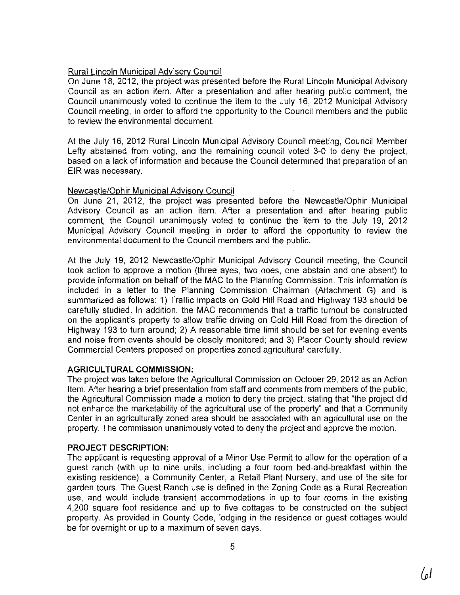# Rural Lincoln Municipal Advisory Council

On June 18, 2012, the project was presented before the Rural Lincoln Municipal Advisory Council as an action item. After a presentation and after hearing public comment, the Council unanimously voted to continue the item to the July 16, 2012 Municipal Advisory Council meeting, in order to afford the opportunity to the Council members and the public to review the environmental document.

At the July 16, 2012 Rural Lincoln Municipal Advisory Council meeting, Council Member Lefty abstained from voting, and the remaining council voted 3-0 to deny the project, based on a lack of information and because the Council determined that preparation of an EIR was necessary.

# Newcastle/Ophir Municipal Advisory Council

On June 21, 2012, the project was presented before the Newcastle/Ophir Municipal Advisory Council as an action item. After a presentation and after hearing public comment, the Council unanimously voted to continue the item to the July 19, 2012 Municipal Advisory Council meeting in order to afford the opportunity to review the environmental document to the Council members and the public.

At the July 19, 2012 Newcastle/Ophir Municipal Advisory Council meeting, the Council took action to approve a motion (three ayes, two noes, one abstain and one absent) to provide information on behalf of the MAC to the Planning Commission. This information is included in a letter to the Planning Commission Chairman (Attachment G) and is summarized as follows: 1) Traffic impacts on Gold Hill Road and Highway 193 should be carefUlly studied. In addition, the MAC recommends that a traffic tumout be constructed on the applicant's property to allow traffic driving on Gold Hill Road from the direction of Highway 193 to tum around; 2) A reasonable time limit should be set for evening events and noise from events should be closely monitored; and 3) Placer County should review Commercial Centers proposed on properties zoned agricultural carefully.

# **AGRICULTURAL COMMISSION:**

The project was taken before the Agricultural Commission on October 29,2012 as an Action Item. After hearing a brief presentation from staff and comments from members of the public, the Agricultural Commission made a motion to deny the project, stating that "the project did not enhance the marketability of the agricultural use of the property" and that a Community Center in an agricUlturally zoned area should be associated with an agricultural use on the property. The commission unanimously voted to deny the project and approve the motion.

# PROJECT **DESCRIPTION:**

The applicant is requesting approval of a Minor Use Permit to allow for the operation of a guest ranch (with up to nine units, including a four room bed-and-breakfast within the existing residence), a Community Center, a Retail Plant Nursery, and use of the site for garden tours. The Guest Ranch use is defined in the Zoning Code as a Rural Recreation use, and would include transient accommodations in up to four rooms in the existing 4,200 square foot residence and up to five cottages to be constructed on the subject property. As provided in County Code, lodging in the residence or guest cottages would be for ovemight or up to a maximum of seven days.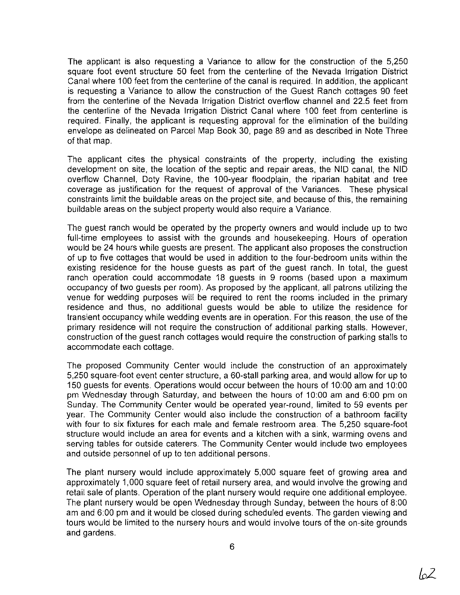The applicant is also requesting a Variance to allow for the construction of the 5,250 square foot event structure 50 feet from the centerline of the Nevada Irrigation District Canal where 100 feet from the centerline of the canal is required. In addition, the applicant is requesting a Variance to allow the construction of the Guest Ranch cottages 90 feet from the centerline of the Nevada Irrigation District overflow channel and 22.5 feet from the centerline of the Nevada Irrigation District Canal where 100 feet from centerline is required. Finally, the applicant is requesting approval for the elimination of the building envelope as delineated on Parcel Map Book 30, page 89 and as described in Note Three of that map.

The applicant cites the physical constraints of the property, including the existing development on site, the location of the septic and repair areas, the NID canal, the NID overflow Channel, Doty Ravine, the 1DO-year floodplain, the riparian habitat and tree coverage as justification for the request of approval of the Variances. These physical constraints limit the buildable areas on the project site, and because of this, the remaining buildable areas on the subject property would also require a Variance.

The guest ranch would be operated by the property owners and would include up to two full-time employees to assist with the grounds and housekeeping. Hours of operation would be 24 hours while guests are present. The applicant also proposes the construction of up to five cottages that would be used in addition to the four-bedroom units within the existing residence for the house guests as part of the guest ranch. In total, the guest ranch operation could accommodate 18 guests in 9 rooms (based upon a maximum occupancy of two guests per room). As proposed by the applicant, all patrons utilizing the venue for wedding purposes will be required to rent the rooms included in the primary residence and thus, no additional guests would be able to utilize the residence for transient occupancy while wedding events are in operation. For this reason, the use of the primary residence will not require the construction of additional parking stalls. However, construction of the guest ranch cottages would require the construction of parking stalls to accommodate each cottage.

The proposed Community Center would include the construction of an approximately 5,250 square-foot event center structure, a 60-stall parking area, and would allow for up to 150 guests for events. Operations would occur between the hours of 10:00 am and 10:00 pm Wednesday through Saturday, and between the hours of 10:00 am and 6:00 pm on Sunday. The Community Center would be operated year-round, limited to 59 events per year. The Community Center would also include the construction of a bathroom facility with four to six fixtures for each male and female restroom area. The 5,250 square-foot structure would include an area for events and a kitchen with a sink, warming ovens and serving tables for outside caterers. The Community Center would include two employees and outside personnel of up to ten additional persons.

The plant nursery would include approximately 5,000 square feet of growing area and approximately 1,000 square feet of retail nursery area, and would involve the growing and retail sale of plants. Operation of the plant nursery would require one additional employee. The plant nursery would be open Wednesday through Sunday, between the hours of 8:00 am and 6:00 pm and it would be closed during scheduled events. The garden viewing and tours would be limited to the nursery hours and would involve tours of the on-site grounds and gardens.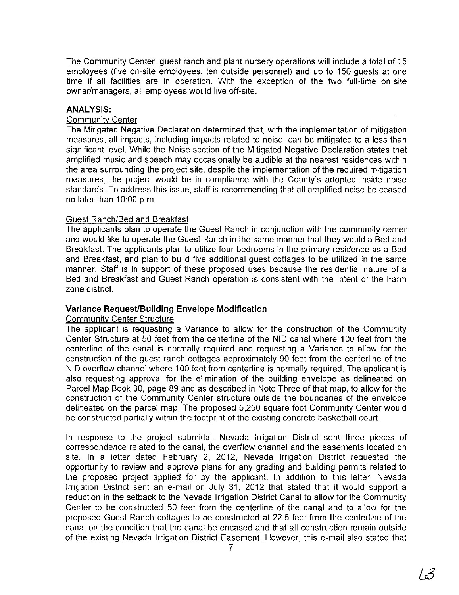The Community Center, guest ranch and plant nursery operations will include a total of 15 employees (five on-site employees, ten outside personnel) and up to 150 guests at one time if all facilities are in operation. With the exception of the two full-time on-site owner/managers, all employees would live off-site.

#### **ANALYSIS:**

#### **Community Center**

The Mitigated Negative Declaration determined that, with the implementation of mitigation measures, all impacts, including impacts related to noise, can be mitigated to a less than significant level. While the Noise section of the Mitigated Negative Declaration states that amplified music and speech may occasionally be audible at the nearest residences within the area surrounding the project site, despite the implementation of the required mitigation measures, the project would be in compliance with the County's adopted inside noise standards. To address this issue, staff is recommending that all amplified noise be ceased no later than 10:00 p.m.

#### Guest Ranch/Bed and Breakfast

The applicants plan to operate the Guest Ranch in conjunction with the community center and would like to operate the Guest Ranch in the same manner that they would a Bed and Breakfast. The applicants plan to utilize four bedrooms in the primary residence as a Bed and Breakfast, and plan to build five additional guest cottages to be utilized in the same manner. Staff is in support of these proposed uses because the residential nature of a Bed and Breakfast and Guest Ranch operation is consistent with the intent of the Farm zone district.

#### Variance **Request/Building Envelope Modification**

# Community Center Structure

The applicant is requesting a Variance to allow for the construction of the Community Center Structure at 50 feet from the centerline of the NID canal where 100 feet from the centerline of the canal is normally required and requesting a Variance to allow for the construction of the guest ranch cottages approximately 90 feet from the centerline of the NID overflow channel where 100 feet from centerline is normally required. The applicant is also requesting approval for the elimination of the building envelope as delineated on Parcel Map Book 30, page 89 and as described in Note Three of that map, to allow for the construction of the Community Center structure outside the boundaries of the envelope delineated on the parcel map. The proposed 5,250 square foot Community Center would be constructed partially within the footprint of the existing concrete basketball court.

In response to the project submittal, Nevada Irrigation District sent three pieces of correspondence related to the canal, the overflow channel and the easements located on site. In a letter dated February 2, 2012, Nevada Irrigation District requested the opportunity to review and approve plans for any grading and building permits related to the proposed project applied for by the applicant. In addition to this letter, Nevada Irrigation District sent an e-mail on July 31, 2012 that stated that it would support a reduction in the setback to the Nevada Irrigation District Canal to allow for the Community Center to be constructed 50 feet from the centerline of the canal and to allow for the proposed Guest Ranch cottages to be constructed at 22.5 feet from the centerline of the canal on the condition that the canal be encased and that all construction remain outside of the existing Nevada Irrigation District Easement. However, this e-mail also stated that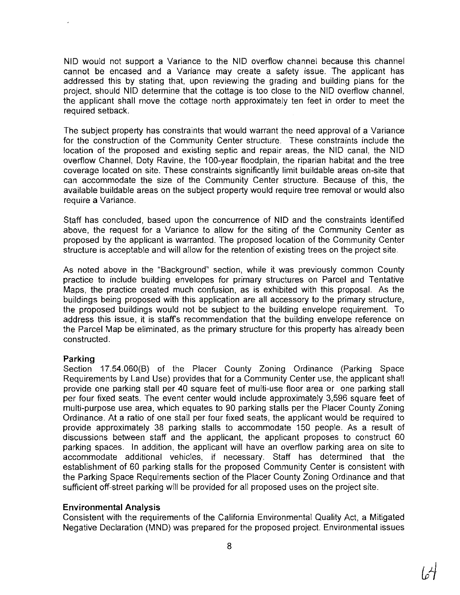NID would not support a Variance to the NID overflow channel because this channel cannot be encased and a Variance may create a safety issue. The applicant has addressed this by stating that, upon reviewing the grading and building plans for the project, should NID determine that the cottage is too close to the NID overflow channel, the applicant shall move the cottage north approximately ten feet in order to meet the required setback.

The subject property has constraints that would warrant the need approval of a Variance for the construction of the Community Center structure. These constraints include the location of the proposed and existing septic and repair areas, the NID canal, the NID overflow Channel, Doty Ravine, the 100-year floodplain, the riparian habitat and the tree coverage located on site. These constraints significantly limit buildable areas on-site that can accommodate the size of the Community Center structure. Because of this, the available buildable areas on the subject property would require tree removal or would also require a Variance.

Staff has concluded, based upon the concurrence of NID and the constraints identified above, the request for a Variance to allow for the siting of the Community Center as proposed by the applicant is warranted. The proposed location of the Community Center structure is acceptable and will allow for the retention of existing trees on the project site.

As noted above in the "Background" section, while it was previously common County practice to include building envelopes for primary structures on Parcel and Tentative Maps, the practice created much confusion, as is exhibited with this proposal. As the buildings being proposed with this application are all accessory to the primary structure, the proposed buildings would not be subject to the building envelope requirement. To address this issue, it is staffs recommendation that the building envelope reference on the Parcel Map be eliminated, as the primary structure for this property has already been constructed.

#### **Parking**

Section 17.54.060(B) of the Placer County Zoning Ordinance (Parking Space Requirements by Land Use) provides that for a Community Center use, the applicant shall provide one parking stall per 40 square feet of multi-use floor area or one parking stall per four fixed seats. The event center would include approximately 3,596 square feet of multi-purpose use area, which equates to 90 parking stalls per the Placer County Zoning Ordinance. At a ratio of one stall per four fixed seats, the applicant would be required to provide approximately 38 parking stalls to accommodate 150 people. As a result of discussions between staff and the applicant, the applicant proposes to construct 60 parking spaces. In addition, the applicant will have an overflow parking area on site to accommodate additional vehicles, if necessary. Staff has determined that the establishment of 60 parking stalls for the proposed Community Center is consistent with the Parking Space Requirements section of the Placer County Zoning Ordinance and that sufficient off-street parking will be provided for all proposed uses on the project site.

# Environmental Analysis

Consistent with the requirements of the California Environmental Quality Act, a Mitigated Negative Declaration (MND) was prepared for the proposed project. Environmental issues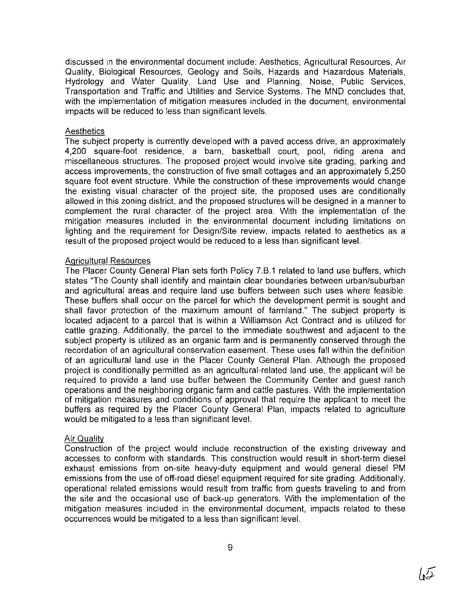discussed in the environmental document include: Aesthetics, Agricultural Resources, Air Quality, Biological Resources, Geology and Soils, Hazards and Hazardous Materials, Hydrology and Water Quality, Land Use and Planning, Noise, Public Services, Transportation and Traffic and Utilities and Service Systems. The MND concludes that, with the implementation of mitigation measures included in the document, environmental impacts will be reduced to less than significant levels.

#### **Aesthetics**

The subject property is currently developed with a paved access drive, an approximately 4,200 square-foot residence, a bam, basketball court, pool, riding arena and miscellaneous structures. The proposed project would involve site grading, parking and access improvements, the construction of five small cottages and an approximately 5,250 square foot event structure. While the construction of these improvements would change the existing visual character of the project site, the proposed uses are conditionally allowed in this zoning district, and the proposed structures will be designed in a manner to complement the rural character of the project area. With the implementation of the mitigation measures included in the environmental document including limitations on lighting and the requirement for Design/Site review, impacts related to aesthetics as a result of the proposed project would be reduced to a less than significant level.

### Agricultural Resources

The Placer County General Plan sets forth Policy 7.B.1 related to land use buffers, which states "The County shall identify and maintain clear boundaries between urban/suburban and agricultural areas and require land use buffers between such uses where feasible. These buffers shall occur on the parcel for which the development permit is sought and shall favor protection of the maximum amount of farmland." The subject property is located adjacent to a parcel that is within a Williamson Act Contract and is utilized for cattle grazing. Additionally, the parcel to the immediate southwest and adjacent to the subject property is utilized as an organic farm and is permanently conserved through the recordation of an agricultural conservation easement. These uses fall within the definition of an agricultural land use in the Placer County General Plan. Although the proposed project is conditionally permitted as an agricultural-related land use, the applicant will be required to provide a land use buffer between the Community Center and guest ranch operations and the neighboring organic farm and cattle pastures. With the implementation of mitigation measures and conditions of approval that require the applicant to meet the buffers as required by the Placer County General Plan, impacts related to agriculture would be mitigated to a less than significant level.

# Air Quality

Construction of the project would include reconstruction of the existing driveway and accesses to conform with standards. This construction would result in short-term diesel exhaust emissions from on-site heavy-duty equipment and would general diesel PM emissions from the use of off-road diesel equipment required for site grading. Additionally, operational related emissions would result from traffic from guests traveling to and from the site and the occasional use of back-up generators. With the implementation of the mitigation measures included in the environmental document, impacts related to these occurrences would be mitigated to a less than significant level.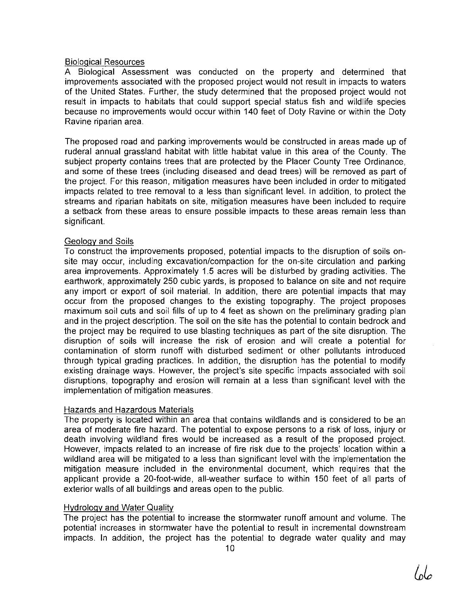# Biological Resources

A Biological Assessment was conducted on the property and determined that improvements associated with the proposed project would not result in impacts to waters of the United States. Further, the study determined that the proposed project would not result in impacts to habitats that could support special status fish and wildlife species because no improvements would occur within 140 feet of Doty Ravine or within the Doty Ravine riparian area.

The proposed road and parking improvements would be constructed in areas made up of ruderal annual grassland habitat with little habitat value in this area of the County. The subject property contains trees that are protected by the Placer County Tree Ordinance, and some of these trees (including diseased and dead trees) will be removed as part of the project. For this reason, mitigation measures have been included in order to mitigated impacts related to tree removal to a less than significant level. In addition, to protect the streams and riparian habitats on site, mitigation measures have been included to require a setback from these areas to ensure possible impacts to these areas remain less than significant.

# Geology and Soils

To construct the improvements proposed, potential impacts to the disruption of soils onsite may occur, including excavation/compaction for the on-site circulation and parking area improvements. Approximately 1.5 acres will be disturbed by grading activities. The earthwork, approximately 250 cubic yards, is proposed to balance on site and not require any import or export of soil material. In addition, there are potential impacts that may occur from the proposed changes to the existing topography. The project proposes maximum soil cuts and soil fills of up to 4 feet as shown on the preliminary grading plan and in the project description. The soil on the site has the potential to contain bedrock and the project may be required to use blasting techniques as part of the site disruption. The disruption of soils will increase the risk of erosion and will create a potential for contamination of storm runoff with disturbed sediment or other pollutants introduced through typical grading practices. In addition, the disruption has the potential to modify existing drainage ways. However, the project's site specific impacts associated with soil disruptions, topography and erosion will remain at a less than significant level with the implementation of mitigation measures.

# Hazards and Hazardous Materials

The property is located within an area that contains wildlands and is considered to be an area of moderate fire hazard. The potential to expose persons to a risk of loss, injury or death involving wildland fires would be increased as a result of the proposed project. However, impacts related to an increase of fire risk due to the projects' location within a wildland area will be mitigated to a less than significant level with the implementation the mitigation measure included in the environmental document, which requires that the applicant provide a 20-foot-wide, all-weather surface to within 150 feet of all parts of exterior walls of all buildings and areas open to the public.

# Hydrology and Water Qualitv

The project has the potential to increase the stormwater runoff amount and volume. The potential increases in stormwater have the potential to result in incremental downstream impacts. In addition, the project has the potential to degrade water quality and may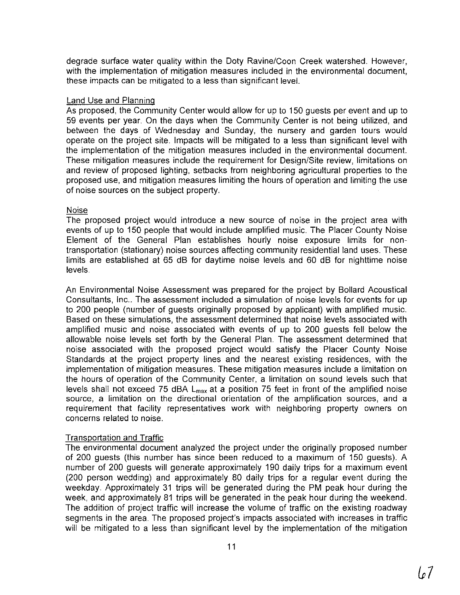degrade surface water quality within the Doty Ravine/Coon Creek watershed. However, with the implementation of mitigation measures included in the environmental document, these impacts can be mitigated to a less than significant level.

#### Land Use and Planning

As proposed, the Community Center would allow for up to 150 guests per event and up to 59 events per year. On the days when the Community Center is not being utilized, and between the days of Wednesday and Sunday, the nursery and garden tours would operate on the project site. Impacts will be mitigated to a less than significant level with the implementation of the mitigation measures included in the environmental document. These mitigation measures include the requirement for Design/Site review, limitations on and review of proposed lighting, setbacks from neighboring agricultural properties to the proposed use, and mitigation measures limiting the hours of operation and limiting the use of noise sources on the subject property.

# **Noise**

The proposed project would introduce a new source of noise in the project area with events of up to 150 people that would include amplified music. The Placer County Noise Element of the General Plan establishes hourly noise exposure limits for nontransportation (stationary) noise sources affecting community residential land uses. These limits are established at 65 dB for daytime noise levels and 60 dB for nighttime noise levels.

An Environmental Noise Assessment was prepared for the project by Bollard Acoustical Consultants, Inc.. The assessment included a simulation of noise levels for events for up to 200 people (number of guests originally proposed by applicant) with amplified music. Based on these simulations, the assessment determined that noise levels associated with amplified music and noise associated with events of up to 200 guests fell below the allowable noise levels set forth by the General Plan. The assessment determined that noise associated with the proposed project would satisfy the Placer County Noise Standards at the project property lines and the nearest existing residences, with the implementation of mitigation measures. These mitigation measures include a limitation on the hours of operation of the Community Center, a limitation on sound levels such that levels shall not exceed 75 dBA  $L_{max}$  at a position 75 feet in front of the amplified noise source, a limitation on the directional orientation of the amplification sources, and a requirement that facility representatives work with neighboring property owners on concerns related to noise.

# Transportation and Traffic

The environmental document analyzed the project under the originally proposed number of 200 guests (this number has since been reduced to a maximum of 150 guests). A number of 200 guests will generate approximately 190 daily trips for a maximum event (200 person wedding) and approximately 80 daily trips for a regular event during the weekday. Approximately 31 trips will be generated during the PM peak hour during the week, and approximately 81 trips will be generated in the peak hour during the weekend. The addition of project traffic will increase the volume of traffic on the existing roadway segments in the area. The proposed project's impacts associated with increases in traffic will be mitigated to a less than significant level by the implementation of the mitigation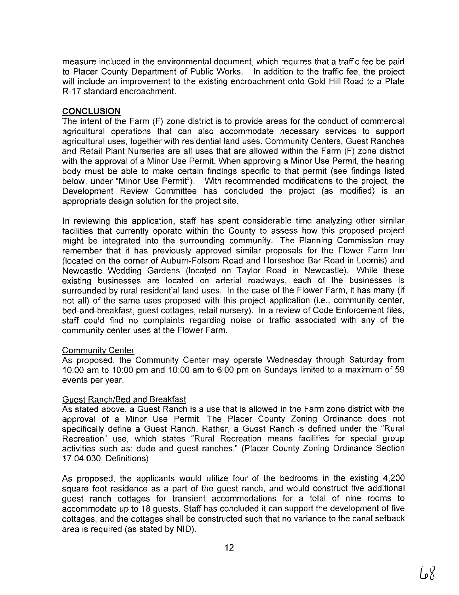measure included in the environmental document, which requires that a traffic fee be paid to Placer County Department of Public Works. In addition to the traffic fee, the project will include an improvement to the existing encroachment onto Gold Hill Road to a Plate R-17 standard encroachment.

### **CONCLUSION**

The intent of the Farm (F) zone district is to provide areas for the conduct of commercial agricultural operations that can also accommodate necessary services to support agricultural uses, together with residential land uses. Community Centers, Guest Ranches and Retail Plant Nurseries are all uses that are allowed within the Farm (F) zone district with the approval of a Minor Use Permit. When approving a Minor Use Permit, the hearing body must be able to make certain findings specific to that permit (see findings listed below, under "Minor Use Permit"). With recommended modifications to the project, the Development Review Committee has concluded the project (as modified) is an appropriate design solution for the project site.

In reviewing this application, staff has spent considerable time analyzing other similar facilities that currently operate within the County to assess how this proposed project might be integrated into the surrounding community. The Planning Commission may remember that it has previously approved similar proposals for the Flower Farm Inn (located on the corner of Auburn-Folsom Road and Horseshoe Bar Road in Loomis) and Newcastle Wedding Gardens (located on Taylor Road in Newcastle). While these existing businesses are located on arterial roadways, each of the businesses is surrounded by rural residential land uses. In the case of the Flower Farm, it has many (if not all) of the same uses proposed with this project application (i.e., community center, bed-and-breakfast, guest cottages, retail nursery). In a review of Code Enforcement files, staff could find no complaints regarding noise or traffic associated with any of the community center uses at the Flower Farm.

# Community Center

As proposed, the Community Center may operate Wednesday through Saturday from 10:00 am to 10:00 pm and 10:00 am to 6:00 pm on Sundays limited to a maximum of 59 events per year.

# Guest Ranch/Bed and Breakfast

As stated above, a Guest Ranch is a use that is allowed in the Farm zone district with the approval of a Minor Use Permit. The Placer County Zoning Ordinance does not specifically define a Guest Ranch. Rather, a Guest Ranch is defined under the "Rural Recreation" use, which states "Rural Recreation means facilities for special group activities such as: dude and guest ranches." (Placer County Zoning Ordinance Section 17.04.030; Definitions)

As proposed, the applicants would utilize four of the bedrooms in the existing 4,200 square foot residence as a part of the guest ranch, and would construct five additional guest ranch cottages for transient accommodations for a total of nine rooms to accommodate up to 18 guests. Staff has concluded it can support the development of five cottages, and the cottages shall be constructed such that no variance to the canal setback area is required (as stated by NID).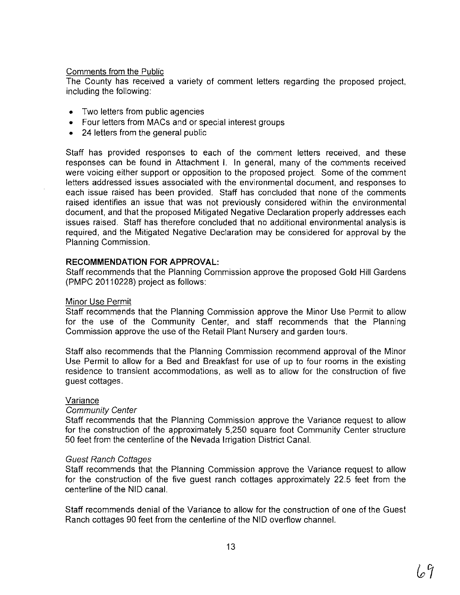# Comments from the Public

The County has received a variety of comment letters regarding the proposed project, including the following:

- Two letters from public agencies
- Four letters from MACs and or special interest groups
- 24 letters from the general public

Staff has provided responses to each of the comment letters received, and these responses can be found in Attachment I. In general, many of the comments received were voicing either support or opposition to the proposed project. Some of the comment letters addressed issues associated with the environmental document, and responses to each issue raised has been provided. Staff has concluded that none of the comments raised identifies an issue that was not previously considered within the environmental document, and that the proposed Mitigated Negative Declaration properly addresses each issues raised. Staff has therefore concluded that no additional environmental analysis is required, and the Mitigated Negative Declaration may be considered for approval by the Planning Commission.

# **RECOMMENDATION FOR APPROVAL:**

Staff recommends that the Planning Commission approve the proposed Gold Hill Gardens (PMPC 20110228) project as follows:

# Minor Use Permit

Staff recommends that the Planning Commission approve the Minor Use Permit to allow for the use of the Community Center, and staff recommends that the Planning Commission approve the use of the Retail Plant Nursery and garden tours.

Staff also recommends that the Planning Commission recommend approval of the Minor Use Permit to allow for a Bed and Breakfast for use of up to four rooms in the existing residence to transient accommodations, as well as to allow for the construction of five guest cottages.

# Variance

# Community Center

Staff recommends that the Planning Commission approve the Variance request to allow for the construction of the approximately 5,250 square foot Community Center structure 50 feet from the centerline of the Nevada Irrigation District Canal.

# Guest Ranch Cottages

Staff recommends that the Planning Commission approve the Variance request to allow for the construction of the five guest ranch cottages approximately 22.5 feet from the centerline of the NID canal.

Staff recommends denial of the Variance to allow for the construction of one of the Guest Ranch cottages 90 feet from the centerline of the NID overflow channel.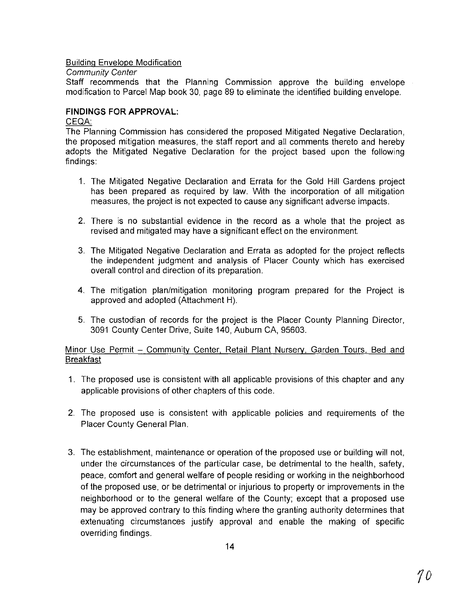# Building Envelope Modification

### Community Center

Staff recommends that the Planning Commission approve the building envelope modification to Parcel Map book 30, page 89 to eliminate the identified building envelope.

# **FINDINGS FOR APPROVAL:**

### CEQA:

The Planning Commission has considered the proposed Mitigated Negative Declaration, the proposed mitigation measures, the staff report and all comments thereto and hereby adopts the Mitigated Negative Declaration for the project based upon the following findings:

- 1. The Mitigated Negative Declaration and Errata for the Gold Hill Gardens project has been prepared as required by law. With the incorporation of all mitigation measures, the project is not expected to cause any significant adverse impacts.
- 2. There is no substantial evidence in the record as a whole that the project as revised and mitigated may have a significant effect on the environment.
- 3. The Mitigated Negative Declaration and Errata as adopted for the project reflects the independent judgment and analysis of Placer County which has exercised overall control and direction of its preparation.
- 4. The mitigation plan/mitigation monitoring program prepared for the Project is approved and adopted (Attachment H).
- 5. The custodian of records for the project is the Placer County Planning Director, 3091 County Center Drive, Suite 140, Auburn CA, 95603.

# Minor Use Permit - Community Center, Retail Plant Nursery, Garden Tours, Bed and Breakfast

- 1. The proposed use is consistent with all applicable provisions of this chapter and any applicable provisions of other chapters of this code.
- 2. The proposed use is consistent with applicable policies and requirements of the Placer County General Plan.
- 3. The establishment, maintenance or operation of the proposed use or building will not, under the circumstances of the particular case, be detrimental to the health, safety, peace, comfort and general welfare of people residing or working in the neighborhood of the proposed use, or be detrimental or injurious to property or improvements in the neighborhood or to the general welfare of the County; except that a proposed use may be approved contrary to this finding where the granting authority determines that extenuating circumstances justify approval and enable the making of specific overriding findings.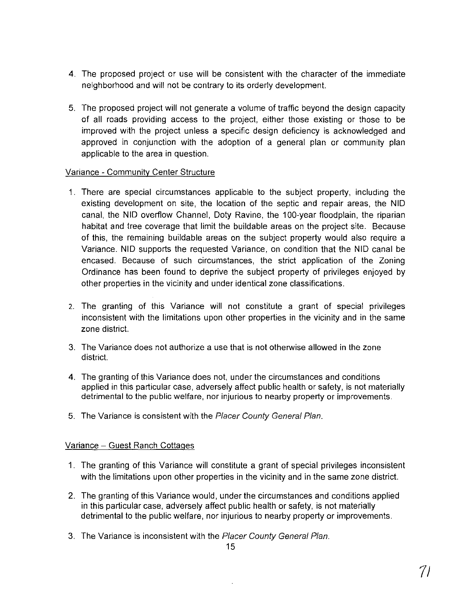- 4. The proposed project or use will be consistent with the character of the immediate neighborhood and will not be contrary to its orderly development.
- 5. The proposed project will not generate a volume of traffic beyond the design capacity of all roads providing access to the project, either those existing or those to be improved with the project unless a specific design deficiency is acknowledged and approved in conjunction with the adoption of a general plan or community plan applicable to the area in question.

# Variance - Community Center Structure

- 1. There are special circumstances applicable to the subject property, including the existing development on site, the location of the septic and repair areas, the NID canal, the NID overflow Channel, Doty Ravine, the 100-year floodplain, the riparian habitat and tree coverage that limit the buildable areas on the project site. Because of this, the remaining buildable areas on the subject property would also require a Variance. NID supports the requested Variance, on condition that the NID canal be encased. Because of such circumstances, the strict application of the Zoning Ordinance has been found to deprive the subject property of privileges enjoyed by other properties in the vicinity and under identical zone classifications.
- 2. The granting of this Variance will not constitute a grant of special privileges inconsistent with the limitations upon other properties in the vicinity and in the same zone district.
- 3. The Variance does not authorize a use that is not otherwise allowed in the zone district.
- 4. The granting of this Variance does not, under the circumstances and conditions applied in this particular case, adversely affect public health or safety, is not materially detrimental to the public welfare, nor injurious to nearby property or improvements.
- 5. The Variance is consistent with the Placer County General Plan.

# Variance - Guest Ranch Cottages

- 1. The granting of this Variance will constitute a grant of special privileges inconsistent with the limitations upon other properties in the vicinity and in the same zone district.
- 2. The granting of this Variance would, under the circumstances and conditions applied in this particular case, adversely affect public health or safety, is not materially detrimental to the public welfare, nor injurious to nearby property or improvements.
- 3. The Variance is inconsistent with the Placer County General Plan.